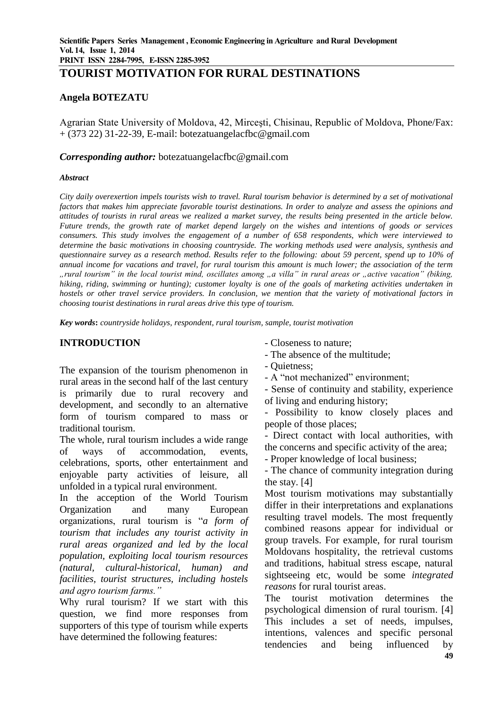# **TOURIST MOTIVATION FOR RURAL DESTINATIONS**

## **Angela BOTEZATU**

Agrarian State University of Moldova, 42, Mirceşti, Chisinau, Republic of Moldova, Phone/Fax: + (373 22) 31-22-39, E-mail: [botezatuangelacfbc@gmail.com](mailto:botezatuangelacfbc@gmail.com)

#### *Corresponding author:* botezatuangelacfbc@gmail.com

#### *Abstract*

*City daily overexertion impels tourists wish to travel. Rural tourism behavior is determined by a set of motivational factors that makes him appreciate favorable tourist destinations. In order to analyze and assess the opinions and attitudes of tourists in rural areas we realized a market survey, the results being presented in the article below. Future trends, the growth rate of market depend largely on the wishes and intentions of goods or services consumers. This study involves the engagement of a number of 658 respondents, which were interviewed to determine the basic motivations in choosing countryside. The working methods used were analysis, synthesis and questionnaire survey as a research method. Results refer to the following: about 59 percent, spend up to 10% of annual income for vacations and travel, for rural tourism this amount is much lower; the association of the term "rural tourism" in the local tourist mind, oscillates among "a villa" in rural areas or "active vacation" (biking, hiking, riding, swimming or hunting); customer loyalty is one of the goals of marketing activities undertaken in hostels or other travel service providers. In conclusion, we mention that the variety of motivational factors in choosing tourist destinations in rural areas drive this type of tourism.*

*Key words***:** *countryside holidays, respondent, rural tourism, sample, tourist motivation*

## **INTRODUCTION**

The expansion of the tourism phenomenon in rural areas in the second half of the last century is primarily due to rural recovery and development, and secondly to an alternative form of tourism compared to mass or traditional tourism.

The whole, rural tourism includes a wide range of ways of accommodation, events, celebrations, sports, other entertainment and enjoyable party activities of leisure, all unfolded in a typical rural environment.

In the acception of the World Tourism Organization and many European organizations, rural tourism is "*a form of tourism that includes any tourist activity in rural areas organized and led by the local population, exploiting local tourism resources (natural, cultural-historical, human) and facilities, tourist structures, including hostels and agro tourism farms."*

Why rural tourism? If we start with this question, we find more responses from supporters of this type of tourism while experts have determined the following features:

- Closeness to nature;
- The absence of the multitude;
- Quietness;
- A "not mechanized" environment;
- Sense of continuity and stability, experience of living and enduring history;

- Possibility to know closely places and people of those places;

- Direct contact with local authorities, with the concerns and specific activity of the area;

- Proper knowledge of local business;

- The chance of community integration during the stay. [4]

Most tourism motivations may substantially differ in their interpretations and explanations resulting travel models. The most frequently combined reasons appear for individual or group travels. For example, for rural tourism Moldovans hospitality, the retrieval customs and traditions, habitual stress escape, natural sightseeing etc, would be some *integrated reasons* for rural tourist areas.

The tourist motivation determines the psychological dimension of rural tourism. [4] This includes a set of needs, impulses, intentions, valences and specific personal tendencies and being influenced by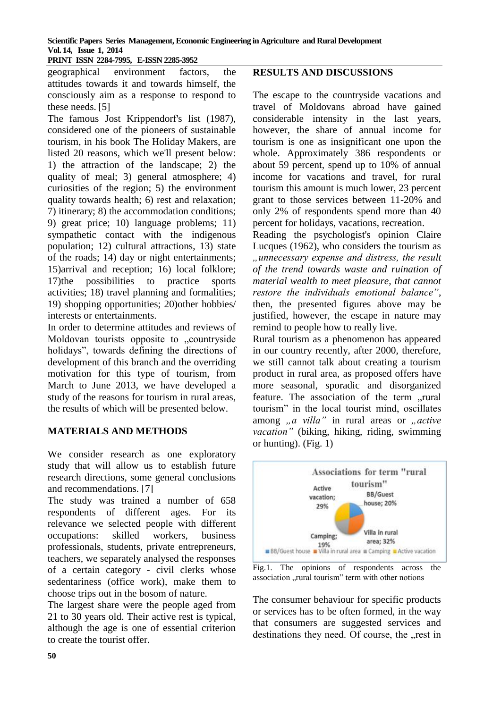**PRINT ISSN 2284-7995, E-ISSN 2285-3952** 

geographical environment factors, the attitudes towards it and towards himself, the consciously aim as a response to respond to these needs. [5]

The famous Jost Krippendorf's list (1987), considered one of the pioneers of sustainable tourism, in his book The Holiday Makers, are listed 20 reasons, which we'll present below: 1) the attraction of the landscape; 2) the quality of meal; 3) general atmosphere; 4) curiosities of the region; 5) the environment quality towards health; 6) rest and relaxation; 7) itinerary; 8) the accommodation conditions; 9) great price; 10) language problems; 11) sympathetic contact with the indigenous population; 12) cultural attractions, 13) state of the roads; 14) day or night entertainments; 15)arrival and reception; 16) local folklore; 17)the possibilities to practice sports activities; 18) travel planning and formalities; 19) shopping opportunities; 20)other hobbies/ interests or entertainments.

In order to determine attitudes and reviews of Moldovan tourists opposite to ..countryside holidays", towards defining the directions of development of this branch and the overriding motivation for this type of tourism, from March to June 2013, we have developed a study of the reasons for tourism in rural areas, the results of which will be presented below.

#### **MATERIALS AND METHODS**

We consider research as one exploratory study that will allow us to establish future research directions, some general conclusions and recommendations. [7]

The study was trained a number of 658 respondents of different ages. For its relevance we selected people with different occupations: skilled workers, business professionals, students, private entrepreneurs, teachers, we separately analysed the responses of a certain category - civil clerks whose sedentariness (office work), make them to choose trips out in the bosom of nature.

The largest share were the people aged from 21 to 30 years old. Their active rest is typical, although the age is one of essential criterion to create the tourist offer.

## **RESULTS AND DISCUSSIONS**

The escape to the countryside vacations and travel of Moldovans abroad have gained considerable intensity in the last years, however, the share of annual income for tourism is one as insignificant one upon the whole. Approximately 386 respondents or about 59 percent, spend up to 10% of annual income for vacations and travel, for rural tourism this amount is much lower, 23 percent grant to those services between 11-20% and only 2% of respondents spend more than 40 percent for holidays, vacations, recreation.

Reading the psychologist's opinion Claire Lucques (1962), who considers the tourism as *"unnecessary expense and distress, the result of the trend towards waste and ruination of material wealth to meet pleasure, that cannot restore the individuals emotional balance"*, then, the presented figures above may be justified, however, the escape in nature may remind to people how to really live.

Rural tourism as a phenomenon has appeared in our country recently, after 2000, therefore, we still cannot talk about creating a tourism product in rural area, as proposed offers have more seasonal, sporadic and disorganized feature. The association of the term "rural tourism" in the local tourist mind, oscillates among *"a villa*" in rural areas or *"active vacation"* (biking, hiking, riding, swimming or hunting). (Fig. 1)



Fig.1. The opinions of respondents across the association ..rural tourism" term with other notions

The consumer behaviour for specific products or services has to be often formed, in the way that consumers are suggested services and destinations they need. Of course, the "rest in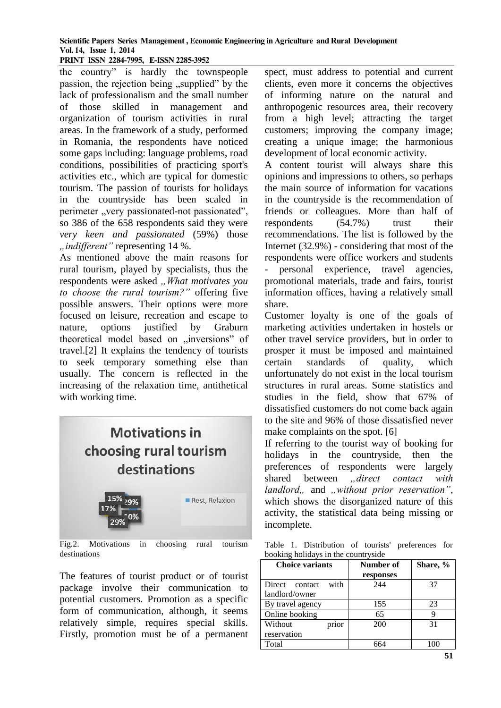#### **Scientific Papers Series Management , Economic Engineering in Agriculture and Rural Development Vol. 14, Issue 1, 2014 PRINT ISSN 2284-7995, E-ISSN 2285-3952**

the country" is hardly the townspeople passion, the rejection being "supplied" by the lack of professionalism and the small number of those skilled in management and organization of tourism activities in rural areas. In the framework of a study, performed in Romania, the respondents have noticed some gaps including: language problems, road conditions, possibilities of practicing sport's activities etc., which are typical for domestic tourism. The passion of tourists for holidays in the countryside has been scaled in perimeter "very passionated-not passionated", so 386 of the 658 respondents said they were *very keen and passionated* (59%) those *"indifferent"* representing 14 %.

As mentioned above the main reasons for rural tourism, played by specialists, thus the respondents were asked .. What motivates you *to choose the rural tourism?"* offering five possible answers. Their options were more focused on leisure, recreation and escape to nature, options justified by Graburn theoretical model based on "inversions" of travel.[2] It explains the tendency of tourists to seek temporary something else than usually. The concern is reflected in the increasing of the relaxation time, antithetical with working time.

# **Motivations in** choosing rural tourism destinations 15% Rest, Relaxion 29%

Fig.2. Motivations in choosing rural tourism destinations

The features of tourist product or of tourist package involve their communication to potential customers. Promotion as a specific form of communication, although, it seems relatively simple, requires special skills. Firstly, promotion must be of a permanent

spect, must address to potential and current clients, even more it concerns the objectives of informing nature on the natural and anthropogenic resources area, their recovery from a high level; attracting the target customers; improving the company image; creating a unique image; the harmonious development of local economic activity.

A content tourist will always share this opinions and impressions to others, so perhaps the main source of information for vacations in the countryside is the recommendation of friends or colleagues. More than half of respondents (54.7%) trust their recommendations. The list is followed by the Internet (32.9%) - considering that most of the respondents were office workers and students personal experience, travel agencies, promotional materials, trade and fairs, tourist information offices, having a relatively small share.

Customer loyalty is one of the goals of marketing activities undertaken in hostels or other travel service providers, but in order to prosper it must be imposed and maintained certain standards of quality, which unfortunately do not exist in the local tourism structures in rural areas. Some statistics and studies in the field, show that 67% of dissatisfied customers do not come back again to the site and 96% of those dissatisfied never make complaints on the spot. [6]

If referring to the tourist way of booking for holidays in the countryside, then the preferences of respondents were largely shared between *direct contact with landlord*,, and ,, without prior reservation", which shows the disorganized nature of this activity, the statistical data being missing or incomplete.

Table 1. Distribution of tourists' preferences for booking holidays in the countryside

| <b>Choice variants</b>           |       | Number of<br>responses | Share, % |
|----------------------------------|-------|------------------------|----------|
| Direct contact<br>landlord/owner | with  | 244                    | 37       |
| By travel agency                 |       | 155                    | 23       |
| Online booking                   |       | 65                     | 9        |
| Without<br>reservation           | prior | 200                    | 31       |
| Total                            |       |                        |          |